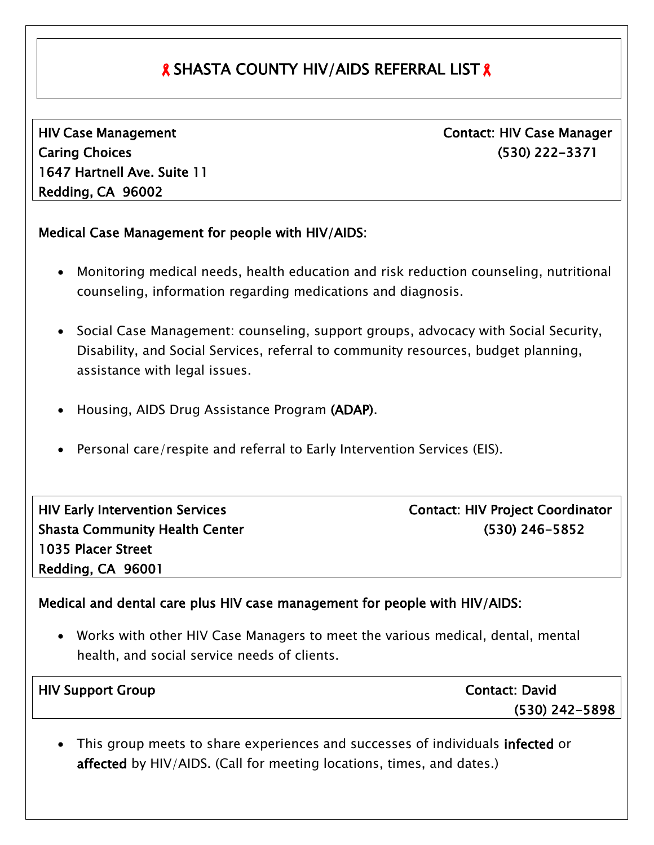## **& SHASTA COUNTY HIV/AIDS REFERRAL LIST &**

HIV Case Management Caring Choices 1647 Hartnell Ave. Suite 11 Redding, CA 96002

 Contact: HIV Case Manager (530) 222-3371

## Medical Case Management for people with HIV/AIDS:

- Monitoring medical needs, health education and risk reduction counseling, nutritional counseling, information regarding medications and diagnosis.
- Social Case Management: counseling, support groups, advocacy with Social Security, Disability, and Social Services, referral to community resources, budget planning, assistance with legal issues.
- Housing, AIDS Drug Assistance Program (ADAP).
- Personal care/respite and referral to Early Intervention Services (EIS).

| <b>HIV Early Intervention Services</b> |
|----------------------------------------|
| <b>Shasta Community Health Center</b>  |
| 1035 Placer Street                     |
| Redding, CA 96001                      |

Contact: HIV Project Coordinator (530) 246-5852

## Medical and dental care plus HIV case management for people with HIV/AIDS:

 Works with other HIV Case Managers to meet the various medical, dental, mental health, and social service needs of clients.

| <b>HIV Support Group</b> | <b>Contact: David</b> |
|--------------------------|-----------------------|
|                          | $(530)$ 242-5898      |
|                          |                       |

• This group meets to share experiences and successes of individuals infected or affected by HIV/AIDS. (Call for meeting locations, times, and dates.)